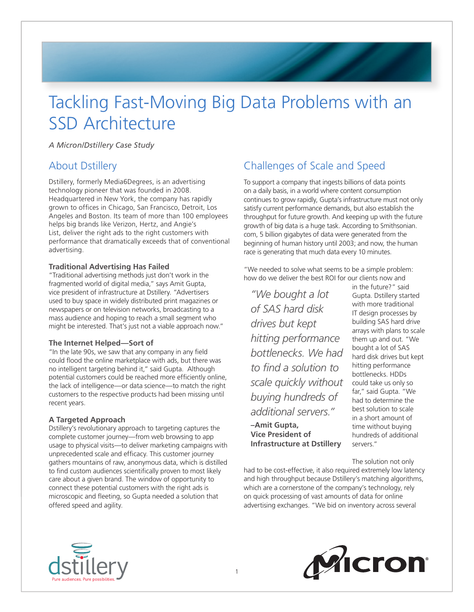# Tackling Fast-Moving Big Data Problems with an SSD Architecture

*A Micron/Dstillery Case Study*

### About Dstillery

Dstillery, formerly Media6Degrees, is an advertising technology pioneer that was founded in 2008. Headquartered in New York, the company has rapidly grown to offices in Chicago, San Francisco, Detroit, Los Angeles and Boston. Its team of more than 100 employees helps big brands like Verizon, Hertz, and Angie's List, deliver the right ads to the right customers with performance that dramatically exceeds that of conventional advertising.

#### **Traditional Advertising Has Failed**

"Traditional advertising methods just don't work in the fragmented world of digital media," says Amit Gupta, vice president of infrastructure at Dstillery. "Advertisers used to buy space in widely distributed print magazines or newspapers or on television networks, broadcasting to a mass audience and hoping to reach a small segment who might be interested. That's just not a viable approach now."

#### **The Internet Helped—Sort of**

"In the late 90s, we saw that any company in any field could flood the online marketplace with ads, but there was no intelligent targeting behind it," said Gupta. Although potential customers could be reached more efficiently online, the lack of intelligence—or data science—to match the right customers to the respective products had been missing until recent years.

#### **A Targeted Approach**

Dstillery's revolutionary approach to targeting captures the complete customer journey—from web browsing to app usage to physical visits—to deliver marketing campaigns with unprecedented scale and efficacy. This customer journey gathers mountains of raw, anonymous data, which is distilled to find custom audiences scientifically proven to most likely care about a given brand. The window of opportunity to connect these potential customers with the right ads is microscopic and fleeting, so Gupta needed a solution that offered speed and agility.

### Challenges of Scale and Speed

To support a company that ingests billions of data points on a daily basis, in a world where content consumption continues to grow rapidly, Gupta's infrastructure must not only satisfy current performance demands, but also establish the throughput for future growth. And keeping up with the future growth of big data is a huge task. According to Smithsonian. com, 5 billion gigabytes of data were generated from the beginning of human history until 2003; and now, the human race is generating that much data every 10 minutes.

"We needed to solve what seems to be a simple problem: how do we deliver the best ROI for our clients now and

*"We bought a lot of SAS hard disk drives but kept hitting performance bottlenecks. We had to find a solution to scale quickly without buying hundreds of additional servers."* **–Amit Gupta, Vice President of** 

**Infrastructure at Dstillery**

in the future?" said Gupta. Dstillery started with more traditional IT design processes by building SAS hard drive arrays with plans to scale them up and out. "We bought a lot of SAS hard disk drives but kept hitting performance bottlenecks. HDDs could take us only so far," said Gupta. "We had to determine the best solution to scale in a short amount of time without buying hundreds of additional servers."

The solution not only

had to be cost-effective, it also required extremely low latency and high throughput because Dstillery's matching algorithms, which are a cornerstone of the company's technology, rely on quick processing of vast amounts of data for online advertising exchanges. "We bid on inventory across several



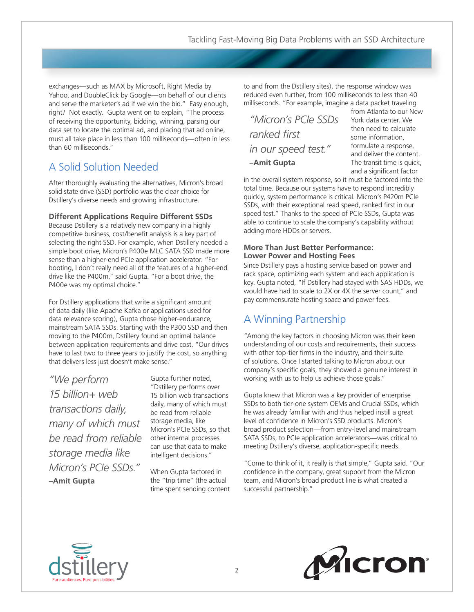exchanges—such as MAX by Microsoft, Right Media by Yahoo, and DoubleClick by Google—on behalf of our clients and serve the marketer's ad if we win the bid." Easy enough, right? Not exactly. Gupta went on to explain, "The process of receiving the opportunity, bidding, winning, parsing our data set to locate the optimal ad, and placing that ad online, must all take place in less than 100 milliseconds—often in less than 60 milliseconds."

# A Solid Solution Needed

After thoroughly evaluating the alternatives, Micron's broad solid state drive (SSD) portfolio was the clear choice for Dstillery's diverse needs and growing infrastructure.

#### **Different Applications Require Different SSDs**

Because Dstillery is a relatively new company in a highly competitive business, cost/benefit analysis is a key part of selecting the right SSD. For example, when Dstillery needed a simple boot drive, Micron's P400e MLC SATA SSD made more sense than a higher-end PCIe application accelerator. "For booting, I don't really need all of the features of a higher-end drive like the P400m," said Gupta. "For a boot drive, the P400e was my optimal choice."

For Dstillery applications that write a significant amount of data daily (like Apache Kafka or applications used for data relevance scoring), Gupta chose higher-endurance, mainstream SATA SSDs. Starting with the P300 SSD and then moving to the P400m, Dstillery found an optimal balance between application requirements and drive cost. "Our drives have to last two to three years to justify the cost, so anything that delivers less just doesn't make sense."

*"We perform 15 billion+ web transactions daily, many of which must be read from reliable storage media like Micron's PCIe SSDs."* **–Amit Gupta**

Gupta further noted, "Dstillery performs over 15 billion web transactions daily, many of which must be read from reliable storage media, like Micron's PCIe SSDs, so that other internal processes can use that data to make intelligent decisions."

When Gupta factored in the "trip time" (the actual time spent sending content to and from the Dstillery sites), the response window was reduced even further, from 100 milliseconds to less than 40 milliseconds. "For example, imagine a data packet traveling

| "Micron's PCIe SSDs |
|---------------------|
| ranked first        |
| in our speed test." |
| -Amit Gupta         |

from Atlanta to our New York data center. We then need to calculate some information, formulate a response, and deliver the content. The transit time is quick, and a significant factor

in the overall system response, so it must be factored into the total time. Because our systems have to respond incredibly quickly, system performance is critical. Micron's P420m PCIe SSDs, with their exceptional read speed, ranked first in our speed test." Thanks to the speed of PCIe SSDs, Gupta was able to continue to scale the company's capability without adding more HDDs or servers.

#### **More Than Just Better Performance: Lower Power and Hosting Fees**

Since Dstillery pays a hosting service based on power and rack space, optimizing each system and each application is key. Gupta noted, "If Dstillery had stayed with SAS HDDs, we would have had to scale to 2X or 4X the server count," and pay commensurate hosting space and power fees.

# A Winning Partnership

"Among the key factors in choosing Micron was their keen understanding of our costs and requirements, their success with other top-tier firms in the industry, and their suite of solutions. Once I started talking to Micron about our company's specific goals, they showed a genuine interest in working with us to help us achieve those goals."

Gupta knew that Micron was a key provider of enterprise SSDs to both tier-one system OEMs and Crucial SSDs, which he was already familiar with and thus helped instill a great level of confidence in Micron's SSD products. Micron's broad product selection—from entry-level and mainstream SATA SSDs, to PCIe application accelerators—was critical to meeting Dstillery's diverse, application-specific needs.

"Come to think of it, it really is that simple," Gupta said. "Our confidence in the company, great support from the Micron team, and Micron's broad product line is what created a successful partnership."